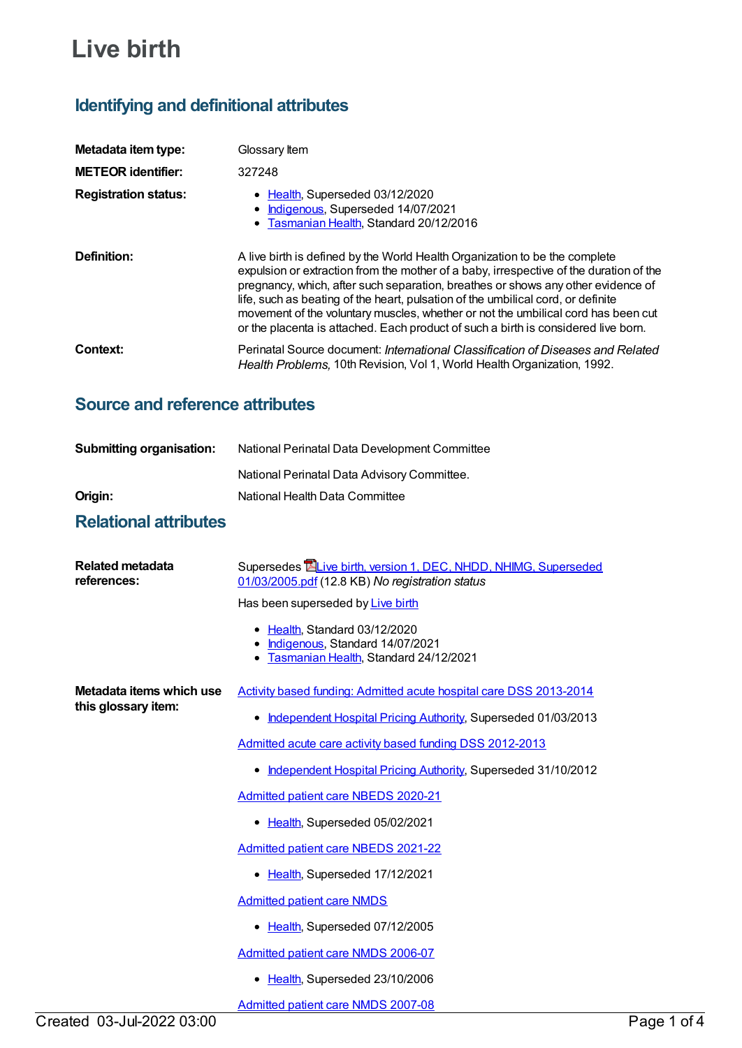# **Live birth**

# **Identifying and definitional attributes**

| Metadata item type:         | Glossary Item                                                                                                                                                                                                                                                                                                                                                                                                                                                                                                            |
|-----------------------------|--------------------------------------------------------------------------------------------------------------------------------------------------------------------------------------------------------------------------------------------------------------------------------------------------------------------------------------------------------------------------------------------------------------------------------------------------------------------------------------------------------------------------|
| <b>METEOR identifier:</b>   | 327248                                                                                                                                                                                                                                                                                                                                                                                                                                                                                                                   |
| <b>Registration status:</b> | • Health, Superseded 03/12/2020<br>Indigenous, Superseded 14/07/2021<br>• Tasmanian Health, Standard 20/12/2016                                                                                                                                                                                                                                                                                                                                                                                                          |
| Definition:                 | A live birth is defined by the World Health Organization to be the complete<br>expulsion or extraction from the mother of a baby, irrespective of the duration of the<br>pregnancy, which, after such separation, breathes or shows any other evidence of<br>life, such as beating of the heart, pulsation of the umbilical cord, or definite<br>movement of the voluntary muscles, whether or not the umbilical cord has been cut<br>or the placenta is attached. Each product of such a birth is considered live born. |
| Context:                    | Perinatal Source document: International Classification of Diseases and Related<br>Health Problems, 10th Revision, Vol 1, World Health Organization, 1992.                                                                                                                                                                                                                                                                                                                                                               |

# **Source and reference attributes**

| National Perinatal Data Development Committee |
|-----------------------------------------------|
| National Perinatal Data Advisory Committee.   |
| National Health Data Committee                |
|                                               |

# **Relational attributes**

| Related metadata<br>references:                 | Supersedes <b>ELive birth, version 1, DEC, NHDD, NHIMG, Superseded</b><br>01/03/2005.pdf (12.8 KB) No registration status |
|-------------------------------------------------|---------------------------------------------------------------------------------------------------------------------------|
|                                                 | Has been superseded by Live birth                                                                                         |
|                                                 | • Health, Standard 03/12/2020<br>Indigenous, Standard 14/07/2021<br>• Tasmanian Health, Standard 24/12/2021               |
| Metadata items which use<br>this glossary item: | Activity based funding: Admitted acute hospital care DSS 2013-2014                                                        |
|                                                 | Independent Hospital Pricing Authority, Superseded 01/03/2013<br>٠                                                        |
|                                                 | Admitted acute care activity based funding DSS 2012-2013                                                                  |
|                                                 | Independent Hospital Pricing Authority, Superseded 31/10/2012<br>٠                                                        |
|                                                 | <b>Admitted patient care NBEDS 2020-21</b>                                                                                |
|                                                 | Health, Superseded 05/02/2021<br>٠                                                                                        |
|                                                 | Admitted patient care NBEDS 2021-22                                                                                       |
|                                                 | • Health, Superseded 17/12/2021                                                                                           |
|                                                 | <b>Admitted patient care NMDS</b>                                                                                         |
|                                                 | • Health, Superseded 07/12/2005                                                                                           |
|                                                 | Admitted patient care NMDS 2006-07                                                                                        |
|                                                 | Health, Superseded 23/10/2006<br>٠                                                                                        |
|                                                 | <b>Admitted patient care NMDS 2007-08</b>                                                                                 |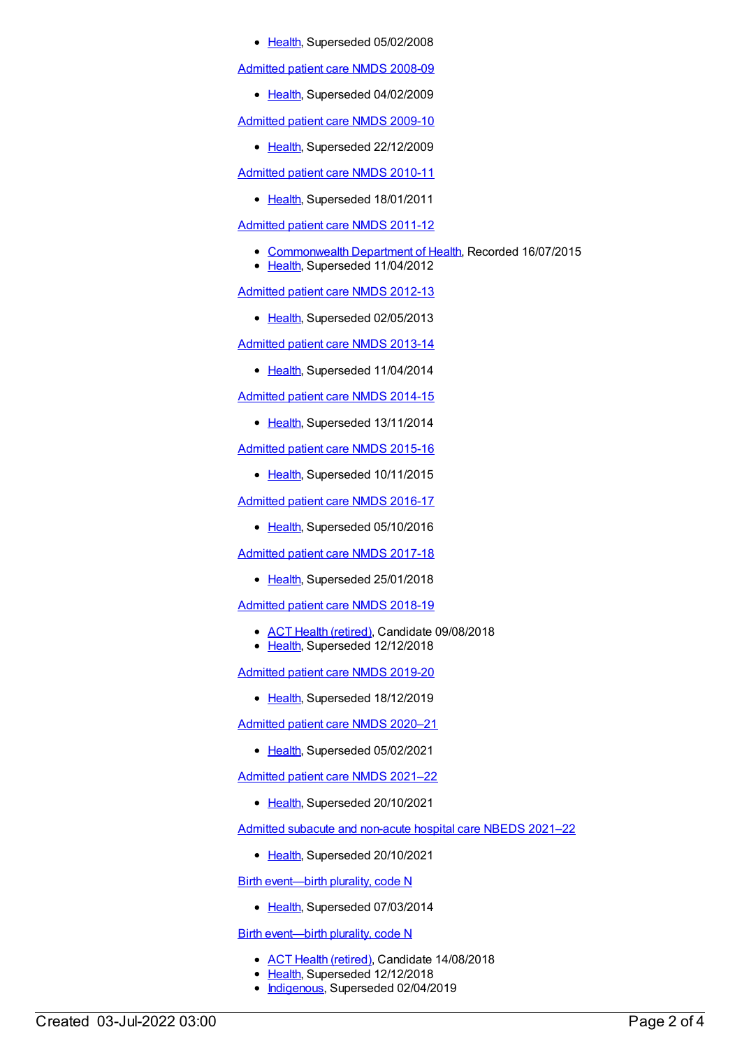• [Health](https://meteor.aihw.gov.au/RegistrationAuthority/12), Superseded 05/02/2008

[Admitted](https://meteor.aihw.gov.au/content/361679) patient care NMDS 2008-09

• [Health](https://meteor.aihw.gov.au/RegistrationAuthority/12), Superseded 04/02/2009

[Admitted](https://meteor.aihw.gov.au/content/374205) patient care NMDS 2009-10

• [Health](https://meteor.aihw.gov.au/RegistrationAuthority/12), Superseded 22/12/2009

[Admitted](https://meteor.aihw.gov.au/content/386797) patient care NMDS 2010-11

• [Health](https://meteor.aihw.gov.au/RegistrationAuthority/12), Superseded 18/01/2011

[Admitted](https://meteor.aihw.gov.au/content/426861) patient care NMDS 2011-12

- [Commonwealth](https://meteor.aihw.gov.au/RegistrationAuthority/10) Department of Health, Recorded 16/07/2015
- [Health](https://meteor.aihw.gov.au/RegistrationAuthority/12), Superseded 11/04/2012

[Admitted](https://meteor.aihw.gov.au/content/466132) patient care NMDS 2012-13

• [Health](https://meteor.aihw.gov.au/RegistrationAuthority/12), Superseded 02/05/2013

[Admitted](https://meteor.aihw.gov.au/content/491555) patient care NMDS 2013-14

• [Health](https://meteor.aihw.gov.au/RegistrationAuthority/12), Superseded 11/04/2014

[Admitted](https://meteor.aihw.gov.au/content/535047) patient care NMDS 2014-15

• [Health](https://meteor.aihw.gov.au/RegistrationAuthority/12), Superseded 13/11/2014

[Admitted](https://meteor.aihw.gov.au/content/588909) patient care NMDS 2015-16

• [Health](https://meteor.aihw.gov.au/RegistrationAuthority/12), Superseded 10/11/2015

[Admitted](https://meteor.aihw.gov.au/content/612171) patient care NMDS 2016-17

• [Health](https://meteor.aihw.gov.au/RegistrationAuthority/12), Superseded 05/10/2016

[Admitted](https://meteor.aihw.gov.au/content/641349) patient care NMDS 2017-18

• [Health](https://meteor.aihw.gov.au/RegistrationAuthority/12), Superseded 25/01/2018

[Admitted](https://meteor.aihw.gov.au/content/676382) patient care NMDS 2018-19

- ACT Health [\(retired\)](https://meteor.aihw.gov.au/RegistrationAuthority/9), Candidate 09/08/2018
- [Health](https://meteor.aihw.gov.au/RegistrationAuthority/12), Superseded 12/12/2018

[Admitted](https://meteor.aihw.gov.au/content/699728) patient care NMDS 2019-20

• [Health](https://meteor.aihw.gov.au/RegistrationAuthority/12), Superseded 18/12/2019

[Admitted](https://meteor.aihw.gov.au/content/713850) patient care NMDS 2020–21

• [Health](https://meteor.aihw.gov.au/RegistrationAuthority/12), Superseded 05/02/2021

[Admitted](https://meteor.aihw.gov.au/content/728439) patient care NMDS 2021–22

• [Health](https://meteor.aihw.gov.au/RegistrationAuthority/12), Superseded 20/10/2021

Admitted subacute and [non-acute](https://meteor.aihw.gov.au/content/727327) hospital care NBEDS 2021–22

• [Health](https://meteor.aihw.gov.au/RegistrationAuthority/12), Superseded 20/10/2021

Birth [event—birth](https://meteor.aihw.gov.au/content/269994) plurality, code N

• [Health](https://meteor.aihw.gov.au/RegistrationAuthority/12), Superseded 07/03/2014

Birth [event—birth](https://meteor.aihw.gov.au/content/668881) plurality, code N

- ACT Health [\(retired\)](https://meteor.aihw.gov.au/RegistrationAuthority/9), Candidate 14/08/2018
- [Health](https://meteor.aihw.gov.au/RegistrationAuthority/12), Superseded 12/12/2018
- [Indigenous](https://meteor.aihw.gov.au/RegistrationAuthority/6), Superseded 02/04/2019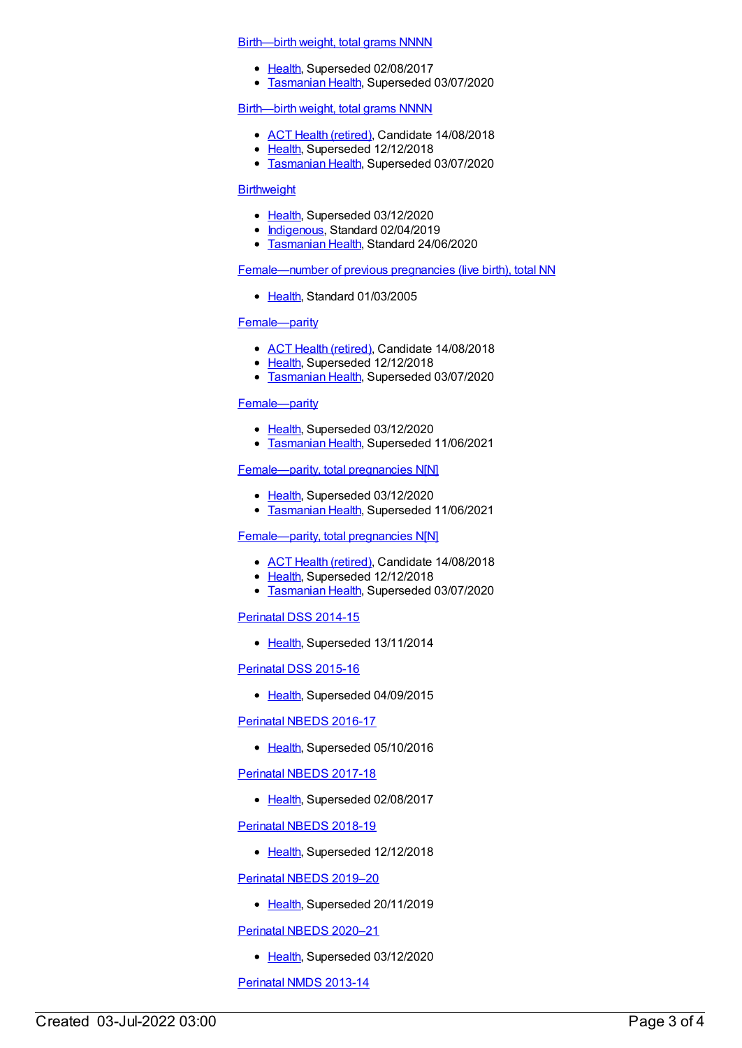#### [Birth—birth](https://meteor.aihw.gov.au/content/269938) weight, total grams NNNN

- [Health](https://meteor.aihw.gov.au/RegistrationAuthority/12), Superseded 02/08/2017
- **[Tasmanian](https://meteor.aihw.gov.au/RegistrationAuthority/15) Health, Superseded 03/07/2020**

#### [Birth—birth](https://meteor.aihw.gov.au/content/668986) weight, total grams NNNN

- ACT Health [\(retired\)](https://meteor.aihw.gov.au/RegistrationAuthority/9), Candidate 14/08/2018
- [Health](https://meteor.aihw.gov.au/RegistrationAuthority/12), Superseded 12/12/2018
- [Tasmanian](https://meteor.aihw.gov.au/RegistrationAuthority/15) Health, Superseded 03/07/2020

#### **[Birthweight](https://meteor.aihw.gov.au/content/696102)**

- [Health](https://meteor.aihw.gov.au/RegistrationAuthority/12), Superseded 03/12/2020
- [Indigenous](https://meteor.aihw.gov.au/RegistrationAuthority/6), Standard 02/04/2019
- [Tasmanian](https://meteor.aihw.gov.au/RegistrationAuthority/15) Health, Standard 24/06/2020

#### [Female—number](https://meteor.aihw.gov.au/content/269931) of previous pregnancies (live birth), total NN

• [Health](https://meteor.aihw.gov.au/RegistrationAuthority/12), Standard 01/03/2005

#### [Female—parity](https://meteor.aihw.gov.au/content/475799)

- ACT Health [\(retired\)](https://meteor.aihw.gov.au/RegistrationAuthority/9), Candidate 14/08/2018
- [Health](https://meteor.aihw.gov.au/RegistrationAuthority/12), Superseded 12/12/2018
- **[Tasmanian](https://meteor.aihw.gov.au/RegistrationAuthority/15) Health, Superseded 03/07/2020**

#### [Female—parity](https://meteor.aihw.gov.au/content/696258)

- [Health](https://meteor.aihw.gov.au/RegistrationAuthority/12), Superseded 03/12/2020
- **[Tasmanian](https://meteor.aihw.gov.au/RegistrationAuthority/15) Health, Superseded 11/06/2021**

#### [Female—parity,](https://meteor.aihw.gov.au/content/696262) total pregnancies N[N]

- [Health](https://meteor.aihw.gov.au/RegistrationAuthority/12), Superseded 03/12/2020
- [Tasmanian](https://meteor.aihw.gov.au/RegistrationAuthority/15) Health, Superseded 11/06/2021

#### [Female—parity,](https://meteor.aihw.gov.au/content/501710) total pregnancies N[N]

- ACT Health [\(retired\)](https://meteor.aihw.gov.au/RegistrationAuthority/9), Candidate 14/08/2018
- [Health](https://meteor.aihw.gov.au/RegistrationAuthority/12), Superseded 12/12/2018
- **[Tasmanian](https://meteor.aihw.gov.au/RegistrationAuthority/15) Health, Superseded 03/07/2020**

#### [Perinatal](https://meteor.aihw.gov.au/content/510127) DSS 2014-15

• [Health](https://meteor.aihw.gov.au/RegistrationAuthority/12), Superseded 13/11/2014

#### [Perinatal](https://meteor.aihw.gov.au/content/581388) DSS 2015-16

• [Health](https://meteor.aihw.gov.au/RegistrationAuthority/12), Superseded 04/09/2015

#### [Perinatal](https://meteor.aihw.gov.au/content/605250) NBEDS 2016-17

• [Health](https://meteor.aihw.gov.au/RegistrationAuthority/12), Superseded 05/10/2016

#### [Perinatal](https://meteor.aihw.gov.au/content/654975) NBEDS 2017-18

• [Health](https://meteor.aihw.gov.au/RegistrationAuthority/12), Superseded 02/08/2017

#### [Perinatal](https://meteor.aihw.gov.au/content/668809) NBEDS 2018-19

• [Health](https://meteor.aihw.gov.au/RegistrationAuthority/12), Superseded 12/12/2018

### [Perinatal](https://meteor.aihw.gov.au/content/694991) NBEDS 2019–20

• [Health](https://meteor.aihw.gov.au/RegistrationAuthority/12), Superseded 20/11/2019

[Perinatal](https://meteor.aihw.gov.au/content/716067) NBEDS 2020–21

• [Health](https://meteor.aihw.gov.au/RegistrationAuthority/12), Superseded 03/12/2020

[Perinatal](https://meteor.aihw.gov.au/content/489433) NMDS 2013-14